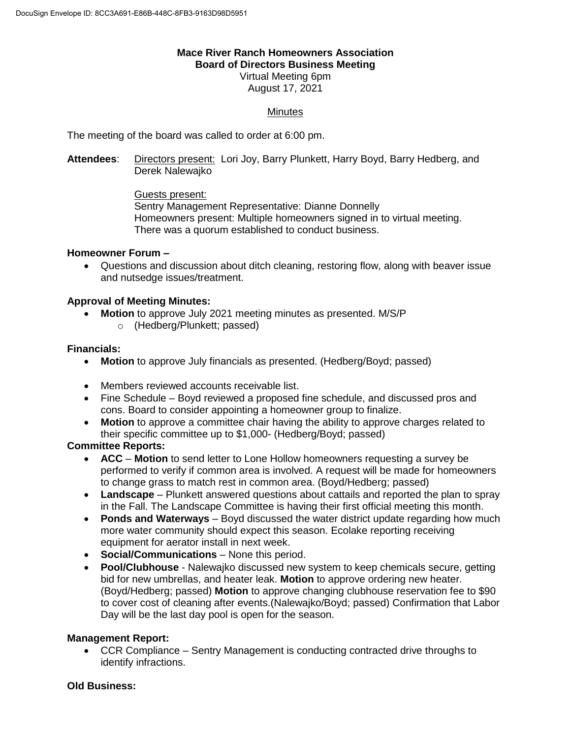## **Mace River Ranch Homeowners Association Board of Directors Business Meeting** Virtual Meeting 6pm

August 17, 2021

# **Minutes**

The meeting of the board was called to order at 6:00 pm.

**Attendees**: Directors present: Lori Joy, Barry Plunkett, Harry Boyd, Barry Hedberg, and Derek Nalewajko

> Guests present: Sentry Management Representative: Dianne Donnelly Homeowners present: Multiple homeowners signed in to virtual meeting. There was a quorum established to conduct business.

### **Homeowner Forum –**

 Questions and discussion about ditch cleaning, restoring flow, along with beaver issue and nutsedge issues/treatment.

### **Approval of Meeting Minutes:**

- **Motion** to approve July 2021 meeting minutes as presented. M/S/P
	- o (Hedberg/Plunkett; passed)

### **Financials:**

- **Motion** to approve July financials as presented. (Hedberg/Boyd; passed)
- Members reviewed accounts receivable list.
- Fine Schedule Boyd reviewed a proposed fine schedule, and discussed pros and cons. Board to consider appointing a homeowner group to finalize.
- **Motion** to approve a committee chair having the ability to approve charges related to their specific committee up to \$1,000- (Hedberg/Boyd; passed)

### **Committee Reports:**

- **ACC Motion** to send letter to Lone Hollow homeowners requesting a survey be performed to verify if common area is involved. A request will be made for homeowners to change grass to match rest in common area. (Boyd/Hedberg; passed)
- **Landscape** Plunkett answered questions about cattails and reported the plan to spray in the Fall. The Landscape Committee is having their first official meeting this month.
- **Ponds and Waterways** Boyd discussed the water district update regarding how much more water community should expect this season. Ecolake reporting receiving equipment for aerator install in next week.
- **Social/Communications**  None this period.
- **Pool/Clubhouse** Nalewajko discussed new system to keep chemicals secure, getting bid for new umbrellas, and heater leak. **Motion** to approve ordering new heater. (Boyd/Hedberg; passed) **Motion** to approve changing clubhouse reservation fee to \$90 to cover cost of cleaning after events.(Nalewajko/Boyd; passed) Confirmation that Labor Day will be the last day pool is open for the season.

### **Management Report:**

 CCR Compliance – Sentry Management is conducting contracted drive throughs to identify infractions.

#### **Old Business:**